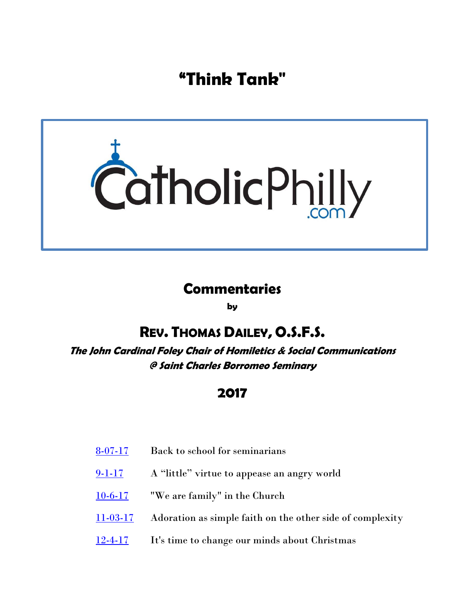**"Think Tank"**



# **Commentaries**

**by**

# **REV. THOMAS DAILEY, O.S.F.S.**

**The John Cardinal Foley Chair of Homiletics & Social Communications @ Saint Charles Borromeo Seminary**

## **2017**

- [8-07-17](#page-1-0) Back to school for seminarians
- [9-1-17](#page-3-0) A "little" virtue to appease an angry world
- [10-6-17](#page-5-0) "We are family" in the Church
- [11-03-17](#page-7-0) Adoration as simple faith on the other side of complexity
- [12-4-17](#page-9-0) It's time to change our minds about Christmas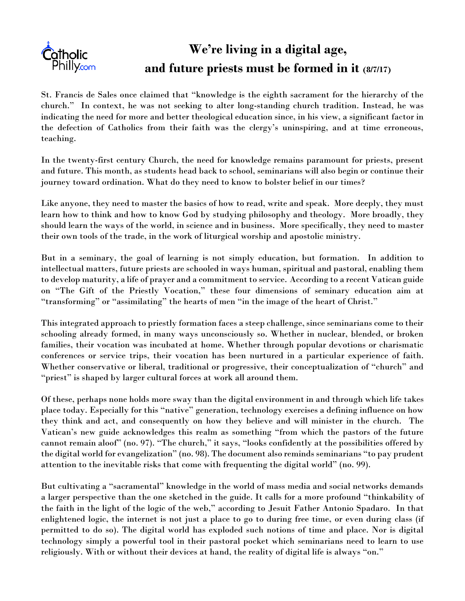<span id="page-1-0"></span>

# **We're living in a digital age, and future priests must be formed in it (8/7/17)**

St. Francis de Sales once claimed that "knowledge is the eighth sacrament for the hierarchy of the church." In context, he was not seeking to alter long-standing church tradition. Instead, he was indicating the need for more and better theological education since, in his view, a significant factor in the defection of Catholics from their faith was the clergy's uninspiring, and at time erroneous, teaching.

In the twenty-first century Church, the need for knowledge remains paramount for priests, present and future. This month, as students head back to school, seminarians will also begin or continue their journey toward ordination. What do they need to know to bolster belief in our times?

Like anyone, they need to master the basics of how to read, write and speak. More deeply, they must learn how to think and how to know God by studying philosophy and theology. More broadly, they should learn the ways of the world, in science and in business. More specifically, they need to master their own tools of the trade, in the work of liturgical worship and apostolic ministry.

But in a seminary, the goal of learning is not simply education, but formation. In addition to intellectual matters, future priests are schooled in ways human, spiritual and pastoral, enabling them to develop maturity, a life of prayer and a commitment to service. According to a recent Vatican guide on "The Gift of the Priestly Vocation," these four dimensions of seminary education aim at "transforming" or "assimilating" the hearts of men "in the image of the heart of Christ."

This integrated approach to priestly formation faces a steep challenge, since seminarians come to their schooling already formed, in many ways unconsciously so. Whether in nuclear, blended, or broken families, their vocation was incubated at home. Whether through popular devotions or charismatic conferences or service trips, their vocation has been nurtured in a particular experience of faith. Whether conservative or liberal, traditional or progressive, their conceptualization of "church" and "priest" is shaped by larger cultural forces at work all around them.

Of these, perhaps none holds more sway than the digital environment in and through which life takes place today. Especially for this "native" generation, technology exercises a defining influence on how they think and act, and consequently on how they believe and will minister in the church. The Vatican's new guide acknowledges this realm as something "from which the pastors of the future cannot remain aloof" (no. 97). "The church," it says, "looks confidently at the possibilities offered by the digital world for evangelization" (no. 98). The document also reminds seminarians "to pay prudent attention to the inevitable risks that come with frequenting the digital world" (no. 99).

But cultivating a "sacramental" knowledge in the world of mass media and social networks demands a larger perspective than the one sketched in the guide. It calls for a more profound "thinkability of the faith in the light of the logic of the web," according to Jesuit Father Antonio Spadaro. In that enlightened logic, the internet is not just a place to go to during free time, or even during class (if permitted to do so). The digital world has exploded such notions of time and place. Nor is digital technology simply a powerful tool in their pastoral pocket which seminarians need to learn to use religiously. With or without their devices at hand, the reality of digital life is always "on."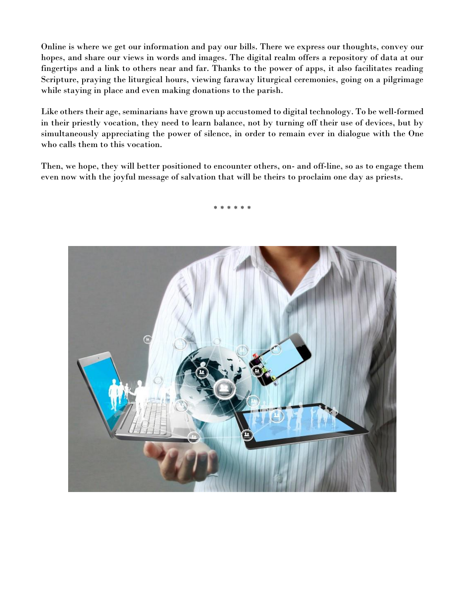Online is where we get our information and pay our bills. There we express our thoughts, convey our hopes, and share our views in words and images. The digital realm offers a repository of data at our fingertips and a link to others near and far. Thanks to the power of apps, it also facilitates reading Scripture, praying the liturgical hours, viewing faraway liturgical ceremonies, going on a pilgrimage while staying in place and even making donations to the parish.

Like others their age, seminarians have grown up accustomed to digital technology. To be well-formed in their priestly vocation, they need to learn balance, not by turning off their use of devices, but by simultaneously appreciating the power of silence, in order to remain ever in dialogue with the One who calls them to this vocation.

Then, we hope, they will better positioned to encounter others, on- and off-line, so as to engage them even now with the joyful message of salvation that will be theirs to proclaim one day as priests.

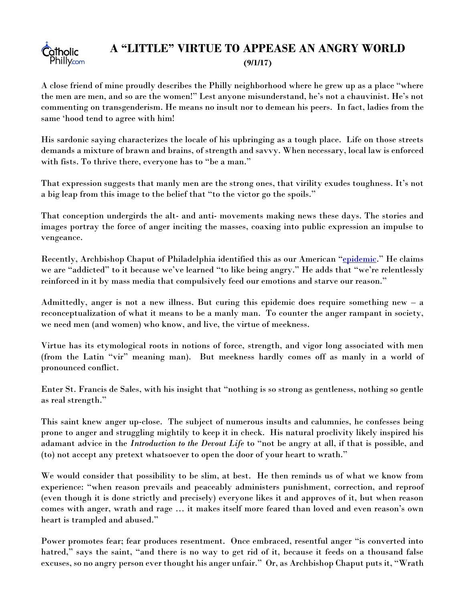## **C**otholic **Philly.com**

### <span id="page-3-0"></span>**A "LITTLE" VIRTUE TO APPEASE AN ANGRY WORLD (9/1/17)**

A close friend of mine proudly describes the Philly neighborhood where he grew up as a place "where the men are men, and so are the women!" Lest anyone misunderstand, he's not a chauvinist. He's not commenting on transgenderism. He means no insult nor to demean his peers. In fact, ladies from the same 'hood tend to agree with him!

His sardonic saying characterizes the locale of his upbringing as a tough place. Life on those streets demands a mixture of brawn and brains, of strength and savvy. When necessary, local law is enforced with fists. To thrive there, everyone has to "be a man."

That expression suggests that manly men are the strong ones, that virility exudes toughness. It's not a big leap from this image to the belief that "to the victor go the spoils."

That conception undergirds the alt- and anti- movements making news these days. The stories and images portray the force of anger inciting the masses, coaxing into public expression an impulse to vengeance.

Recently, Archbishop Chaput of Philadelphia identified this as our American "[epidemic](http://catholicphilly.com/2017/08/think-tank/archbishop-chaput-column/the-epidemic-and-its-cure/)." He claims we are "addicted" to it because we've learned "to like being angry." He adds that "we're relentlessly reinforced in it by mass media that compulsively feed our emotions and starve our reason."

Admittedly, anger is not a new illness. But curing this epidemic does require something new – a reconceptualization of what it means to be a manly man. To counter the anger rampant in society, we need men (and women) who know, and live, the virtue of meekness.

Virtue has its etymological roots in notions of force, strength, and vigor long associated with men (from the Latin "vir" meaning man). But meekness hardly comes off as manly in a world of pronounced conflict.

Enter St. Francis de Sales, with his insight that "nothing is so strong as gentleness, nothing so gentle as real strength."

This saint knew anger up-close. The subject of numerous insults and calumnies, he confesses being prone to anger and struggling mightily to keep it in check. His natural proclivity likely inspired his adamant advice in the *Introduction to the Devout Life* to "not be angry at all, if that is possible, and (to) not accept any pretext whatsoever to open the door of your heart to wrath."

We would consider that possibility to be slim, at best. He then reminds us of what we know from experience: "when reason prevails and peaceably administers punishment, correction, and reproof (even though it is done strictly and precisely) everyone likes it and approves of it, but when reason comes with anger, wrath and rage … it makes itself more feared than loved and even reason's own heart is trampled and abused."

Power promotes fear; fear produces resentment. Once embraced, resentful anger "is converted into hatred," says the saint, "and there is no way to get rid of it, because it feeds on a thousand false excuses, so no angry person ever thought his anger unfair." Or, as Archbishop Chaput puts it, "Wrath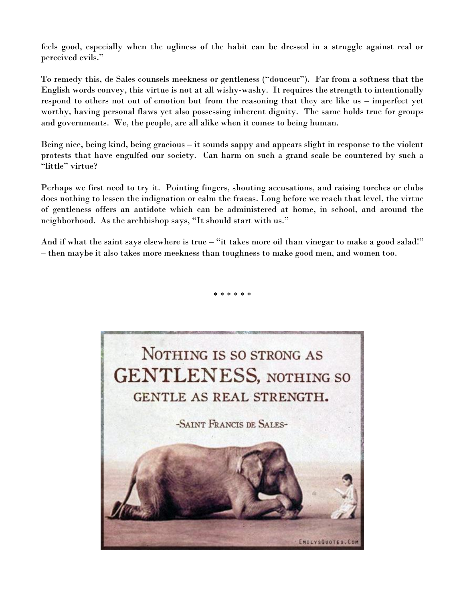feels good, especially when the ugliness of the habit can be dressed in a struggle against real or perceived evils."

To remedy this, de Sales counsels meekness or gentleness ("douceur"). Far from a softness that the English words convey, this virtue is not at all wishy-washy. It requires the strength to intentionally respond to others not out of emotion but from the reasoning that they are like us – imperfect yet worthy, having personal flaws yet also possessing inherent dignity. The same holds true for groups and governments. We, the people, are all alike when it comes to being human.

Being nice, being kind, being gracious – it sounds sappy and appears slight in response to the violent protests that have engulfed our society. Can harm on such a grand scale be countered by such a "little" virtue?

Perhaps we first need to try it. Pointing fingers, shouting accusations, and raising torches or clubs does nothing to lessen the indignation or calm the fracas. Long before we reach that level, the virtue of gentleness offers an antidote which can be administered at home, in school, and around the neighborhood. As the archbishop says, "It should start with us."

And if what the saint says elsewhere is true – "it takes more oil than vinegar to make a good salad!" – then maybe it also takes more meekness than toughness to make good men, and women too.

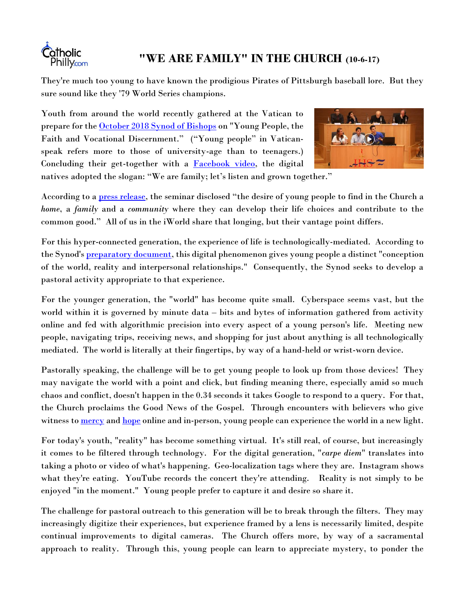<span id="page-5-0"></span>

## **"WE ARE FAMILY" IN THE CHURCH (10-6-17)**

They're much too young to have known the prodigious Pirates of Pittsburgh baseball lore. But they sure sound like they '79 World Series champions.

Youth from around the world recently gathered at the Vatican to prepare for the [October 2018 Synod of Bishops](http://youth.synod2018.va/content/synod2018/en.html) on "Young People, the Faith and Vocational Discernment." ("Young people" in Vaticanspeak refers more to those of university-age than to teenagers.) Concluding their get-together with a **Facebook video**, the digital



natives adopted the slogan: "We are family; let's listen and grown together."

According to a [press release](http://press.vatican.va/content/salastampa/en/bollettino/pubblico/2017/09/19/170919c.html), the seminar disclosed "the desire of young people to find in the Church a *home*, a *family* and a *community* where they can develop their life choices and contribute to the common good." All of us in the iWorld share that longing, but their vantage point differs.

For this hyper-connected generation, the experience of life is technologically-mediated. According to the Synod's **preparatory document**, this digital phenomenon gives young people a distinct "conception" of the world, reality and interpersonal relationships." Consequently, the Synod seeks to develop a pastoral activity appropriate to that experience.

For the younger generation, the "world" has become quite small. Cyberspace seems vast, but the world within it is governed by minute data – bits and bytes of information gathered from activity online and fed with algorithmic precision into every aspect of a young person's life. Meeting new people, navigating trips, receiving news, and shopping for just about anything is all technologically mediated. The world is literally at their fingertips, by way of a hand-held or wrist-worn device.

Pastorally speaking, the challenge will be to get young people to look up from those devices! They may navigate the world with a point and click, but finding meaning there, especially amid so much chaos and conflict, doesn't happen in the 0.34 seconds it takes Google to respond to a query. For that, the Church proclaims the Good News of the Gospel. Through encounters with believers who give witness to [mercy](http://w2.vatican.va/content/francesco/en/messages/communications/documents/papa-francesco_20160124_messaggio-comunicazioni-sociali.html) and [hope](http://w2.vatican.va/content/francesco/en/messages/communications/documents/papa-francesco_20170124_messaggio-comunicazioni-sociali.html) online and in-person, young people can experience the world in a new light.

For today's youth, "reality" has become something virtual. It's still real, of course, but increasingly it comes to be filtered through technology. For the digital generation, "*carpe diem*" translates into taking a photo or video of what's happening. Geo-localization tags where they are. Instagram shows what they're eating. YouTube records the concert they're attending. Reality is not simply to be enjoyed "in the moment." Young people prefer to capture it and desire so share it.

The challenge for pastoral outreach to this generation will be to break through the filters. They may increasingly digitize their experiences, but experience framed by a lens is necessarily limited, despite continual improvements to digital cameras. The Church offers more, by way of a sacramental approach to reality. Through this, young people can learn to appreciate mystery, to ponder the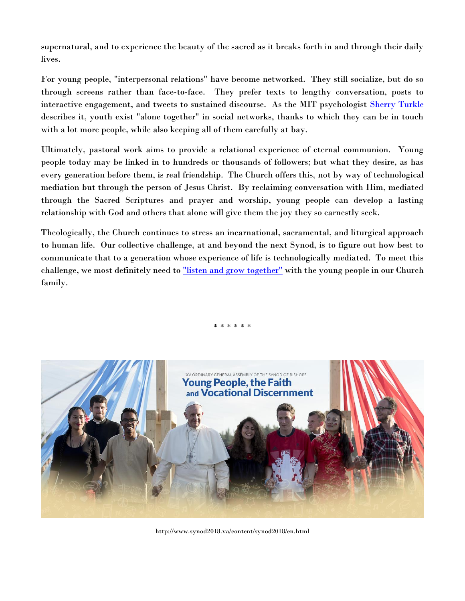supernatural, and to experience the beauty of the sacred as it breaks forth in and through their daily lives.

For young people, "interpersonal relations" have become networked. They still socialize, but do so through screens rather than face-to-face. They prefer texts to lengthy conversation, posts to interactive engagement, and tweets to sustained discourse. As the MIT psychologist [Sherry Turkle](http://www.ted.com/talks/sherry_turkle_alone_together.html) describes it, youth exist "alone together" in social networks, thanks to which they can be in touch with a lot more people, while also keeping all of them carefully at bay.

Ultimately, pastoral work aims to provide a relational experience of eternal communion. Young people today may be linked in to hundreds or thousands of followers; but what they desire, as has every generation before them, is real friendship. The Church offers this, not by way of technological mediation but through the person of Jesus Christ. By reclaiming conversation with Him, mediated through the Sacred Scriptures and prayer and worship, young people can develop a lasting relationship with God and others that alone will give them the joy they so earnestly seek.

Theologically, the Church continues to stress an incarnational, sacramental, and liturgical approach to human life. Our collective challenge, at and beyond the next Synod, is to figure out how best to communicate that to a generation whose experience of life is technologically mediated. To meet this challenge, we most definitely need to ["listen and grow together"](http://press.vatican.va/content/salastampa/en/bollettino/pubblico/2017/10/04/171004b.html) with the young people in our Church family.



http://www.synod2018.va/content/synod2018/en.html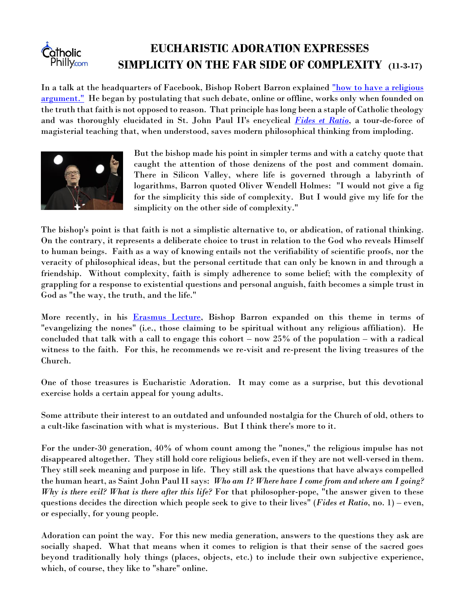#### <span id="page-7-0"></span>**EUCHARISTIC ADORATION EXPRESSES Catholic Philly.com SIMPLICITY ON THE FAR SIDE OF COMPLEXITY (11-3-17)**

In a talk at the headquarters of Facebook, Bishop Robert Barron explained "how to have a religious [argument."](https://www.facebook.com/BishopRobertBarron/videos/1533520986687023/) He began by postulating that such debate, online or offline, works only when founded on the truth that faith is not opposed to reason. That principle has long been a staple of Catholic theology and was thoroughly elucidated in St. John Paul II's encyclical *[Fides et Ratio](http://w2.vatican.va/content/john-paul-ii/en/encyclicals/documents/hf_jp-ii_enc_14091998_fides-et-ratio.html)*, a tour-de-force of magisterial teaching that, when understood, saves modern philosophical thinking from imploding.



But the bishop made his point in simpler terms and with a catchy quote that caught the attention of those denizens of the post and comment domain. There in Silicon Valley, where life is governed through a labyrinth of logarithms, Barron quoted Oliver Wendell Holmes: "I would not give a fig for the simplicity this side of complexity. But I would give my life for the simplicity on the other side of complexity."

The bishop's point is that faith is not a simplistic alternative to, or abdication, of rational thinking. On the contrary, it represents a deliberate choice to trust in relation to the God who reveals Himself to human beings. Faith as a way of knowing entails not the verifiability of scientific proofs, nor the veracity of philosophical ideas, but the personal certitude that can only be known in and through a friendship. Without complexity, faith is simply adherence to some belief; with the complexity of grappling for a response to existential questions and personal anguish, faith becomes a simple trust in God as "the way, the truth, and the life."

More recently, in his [Erasmus Lecture,](https://www.facebook.com/FirstThings/videos/10155294601884682/) Bishop Barron expanded on this theme in terms of "evangelizing the nones" (i.e., those claiming to be spiritual without any religious affiliation). He concluded that talk with a call to engage this cohort – now 25% of the population – with a radical witness to the faith. For this, he recommends we re-visit and re-present the living treasures of the Church.

One of those treasures is Eucharistic Adoration. It may come as a surprise, but this devotional exercise holds a certain appeal for young adults.

Some attribute their interest to an outdated and unfounded nostalgia for the Church of old, others to a cult-like fascination with what is mysterious. But I think there's more to it.

For the under-30 generation, 40% of whom count among the "nones," the religious impulse has not disappeared altogether. They still hold core religious beliefs, even if they are not well-versed in them. They still seek meaning and purpose in life. They still ask the questions that have always compelled the human heart, as Saint John Paul II says: *Who am I? Where have I come from and where am I going? Why is there evil? What is there after this life?* For that philosopher-pope, "the answer given to these questions decides the direction which people seek to give to their lives" (*Fides et Ratio*, no. 1) – even, or especially, for young people.

Adoration can point the way. For this new media generation, answers to the questions they ask are socially shaped. What that means when it comes to religion is that their sense of the sacred goes beyond traditionally holy things (places, objects, etc.) to include their own subjective experience, which, of course, they like to "share" online.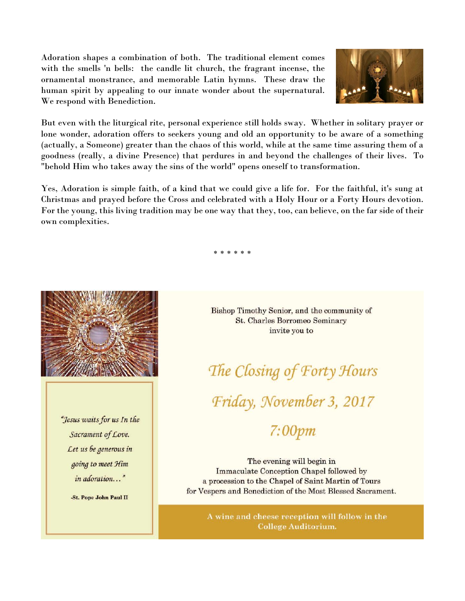Adoration shapes a combination of both. The traditional element comes with the smells 'n bells: the candle lit church, the fragrant incense, the ornamental monstrance, and memorable Latin hymns. These draw the human spirit by appealing to our innate wonder about the supernatural. We respond with Benediction.



But even with the liturgical rite, personal experience still holds sway. Whether in solitary prayer or lone wonder, adoration offers to seekers young and old an opportunity to be aware of a something (actually, a Someone) greater than the chaos of this world, while at the same time assuring them of a goodness (really, a divine Presence) that perdures in and beyond the challenges of their lives. To "behold Him who takes away the sins of the world" opens oneself to transformation.

Yes, Adoration is simple faith, of a kind that we could give a life for. For the faithful, it's sung at Christmas and prayed before the Cross and celebrated with a Holy Hour or a Forty Hours devotion. For the young, this living tradition may be one way that they, too, can believe, on the far side of their own complexities.

\* \* \* \* \* \*



"Jesus waits for us In the Sacrament of Love. Let us be generous in going to meet Him in adoration..."

-St. Pope John Paul II

Bishop Timothy Senior, and the community of **St. Charles Borromeo Seminary** invite you to

The Closing of Forty Hours Friday, November 3, 2017

# $7:00pm$

The evening will begin in **Immaculate Conception Chapel followed by** a procession to the Chapel of Saint Martin of Tours for Vespers and Benediction of the Most Blessed Sacrament.

A wine and cheese reception will follow in the **College Auditorium.**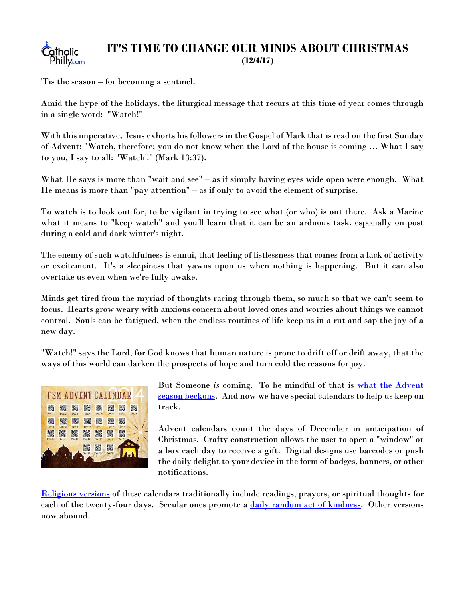<span id="page-9-0"></span>

#### **IT'S TIME TO CHANGE OUR MINDS ABOUT CHRISTMAS (12/4/17)**

'Tis the season – for becoming a sentinel.

Amid the hype of the holidays, the liturgical message that recurs at this time of year comes through in a single word: "Watch!"

With this imperative, Jesus exhorts his followers in the Gospel of Mark that is read on the first Sunday of Advent: "Watch, therefore; you do not know when the Lord of the house is coming … What I say to you, I say to all: 'Watch'!" (Mark 13:37).

What He says is more than "wait and see" – as if simply having eyes wide open were enough. What He means is more than "pay attention" – as if only to avoid the element of surprise.

To watch is to look out for, to be vigilant in trying to see what (or who) is out there. Ask a Marine what it means to "keep watch" and you'll learn that it can be an arduous task, especially on post during a cold and dark winter's night.

The enemy of such watchfulness is ennui, that feeling of listlessness that comes from a lack of activity or excitement. It's a sleepiness that yawns upon us when nothing is happening. But it can also overtake us even when we're fully awake.

Minds get tired from the myriad of thoughts racing through them, so much so that we can't seem to focus. Hearts grow weary with anxious concern about loved ones and worries about things we cannot control. Souls can be fatigued, when the endless routines of life keep us in a rut and sap the joy of a new day.

"Watch!" says the Lord, for God knows that human nature is prone to drift off or drift away, that the ways of this world can darken the prospects of hope and turn cold the reasons for joy.



But Someone *is* coming. To be mindful of that is [what the Advent](http://catholicphilly.com/2017/12/news/national-news/advent-liturgical-season-with-two-parts-and-tools-to-help/)  [season beckons.](http://catholicphilly.com/2017/12/news/national-news/advent-liturgical-season-with-two-parts-and-tools-to-help/) And now we have special calendars to help us keep on track.

Advent calendars count the days of December in anticipation of Christmas. Crafty construction allows the user to open a "window" or a box each day to receive a gift. Digital designs use barcodes or push the daily delight to your device in the form of badges, banners, or other notifications.

[Religious versions](http://www.usccb.org/prayer-and-worship/liturgical-year/advent/index.cfm) of these calendars traditionally include readings, prayers, or spiritual thoughts for each of the twenty-four days. Secular ones promote a [daily random act of kindness.](https://www.coffeecupsandcrayons.com/random-acts-christmas-kindness-printable-advent-calendar/) Other versions now abound.